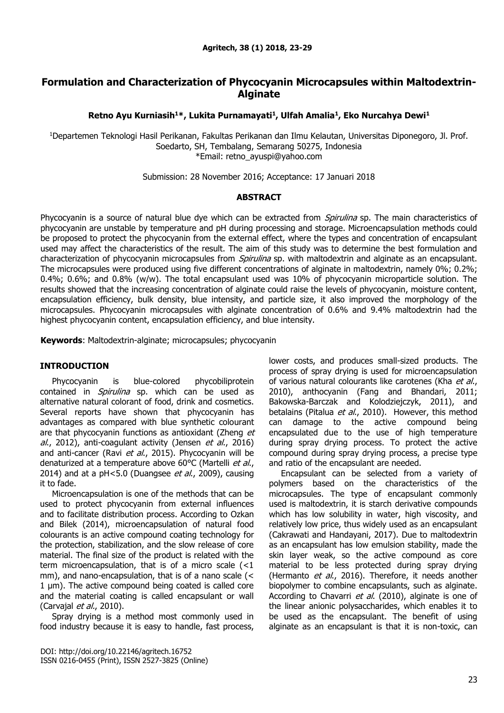# **Formulation and Characterization of Phycocyanin Microcapsules within Maltodextrin-Alginate**

**Retno Ayu Kurniasih<sup>1</sup>\*, Lukita Purnamayati<sup>1</sup> , Ulfah Amalia<sup>1</sup> , Eko Nurcahya Dewi<sup>1</sup>**

<sup>1</sup>Departemen Teknologi Hasil Perikanan, Fakultas Perikanan dan Ilmu Kelautan, Universitas Diponegoro, Jl. Prof. Soedarto, SH, Tembalang, Semarang 50275, Indonesia \*Email: [retno\\_ayuspi@yahoo.com](mailto:retno_ayuspi@yahoo.com)

Submission: 28 November 2016; Acceptance: 17 Januari 2018

## **ABSTRACT**

Phycocyanin is a source of natural blue dye which can be extracted from Spirulina sp. The main characteristics of phycocyanin are unstable by temperature and pH during processing and storage. Microencapsulation methods could be proposed to protect the phycocyanin from the external effect, where the types and concentration of encapsulant used may affect the characteristics of the result. The aim of this study was to determine the best formulation and characterization of phycocyanin microcapsules from *Spirulina* sp. with maltodextrin and alginate as an encapsulant. The microcapsules were produced using five different concentrations of alginate in maltodextrin, namely 0%; 0.2%; 0.4%; 0.6%; and 0.8% (w/w). The total encapsulant used was 10% of phycocyanin microparticle solution. The results showed that the increasing concentration of alginate could raise the levels of phycocyanin, moisture content, encapsulation efficiency, bulk density, blue intensity, and particle size, it also improved the morphology of the microcapsules. Phycocyanin microcapsules with alginate concentration of 0.6% and 9.4% maltodextrin had the highest phycocyanin content, encapsulation efficiency, and blue intensity.

**Keywords**: Maltodextrin-alginate; microcapsules; phycocyanin

## **INTRODUCTION**

Phycocyanin is blue-colored phycobiliprotein contained in *Spirulina* sp. which can be used as alternative natural colorant of food, drink and cosmetics. Several reports have shown that phycocyanin has advantages as compared with blue synthetic colourant are that phycocyanin functions as antioxidant (Zheng et  $al.$ , 2012), anti-coagulant activity (Jensen et  $al.$ , 2016) and anti-cancer (Ravi et al., 2015). Phycocyanin will be denaturized at a temperature above 60°C (Martelli et al., 2014) and at a  $pH < 5.0$  (Duangsee *et al.*, 2009), causing it to fade.

Microencapsulation is one of the methods that can be used to protect phycocyanin from external influences and to facilitate distribution process. According to Ozkan and Bilek (2014), microencapsulation of natural food colourants is an active compound coating technology for the protection, stabilization, and the slow release of core material. The final size of the product is related with the term microencapsulation, that is of a micro scale (<1 mm), and nano-encapsulation, that is of a nano scale (< 1 µm). The active compound being coated is called core and the material coating is called encapsulant or wall (Carvajal et al., 2010).

Spray drying is a method most commonly used in food industry because it is easy to handle, fast process, lower costs, and produces small-sized products. The process of spray drying is used for microencapsulation of various natural colourants like carotenes (Kha et al., 2010), anthocyanin (Fang and Bhandari, 2011; Bakowska-Barczak and Kolodziejczyk, 2011), and betalains (Pitalua et al., 2010). However, this method can damage to the active compound being encapsulated due to the use of high temperature during spray drying process. To protect the active compound during spray drying process, a precise type and ratio of the encapsulant are needed.

Encapsulant can be selected from a variety of polymers based on the characteristics of the microcapsules. The type of encapsulant commonly used is maltodextrin, it is starch derivative compounds which has low solubility in water, high viscosity, and relatively low price, thus widely used as an encapsulant (Cakrawati and Handayani, 2017). Due to maltodextrin as an encapsulant has low emulsion stability, made the skin layer weak, so the active compound as core material to be less protected during spray drying (Hermanto et al., 2016). Therefore, it needs another biopolymer to combine encapsulants, such as alginate. According to Chavarri et al. (2010), alginate is one of the linear anionic polysaccharides, which enables it to be used as the encapsulant. The benefit of using alginate as an encapsulant is that it is non-toxic, can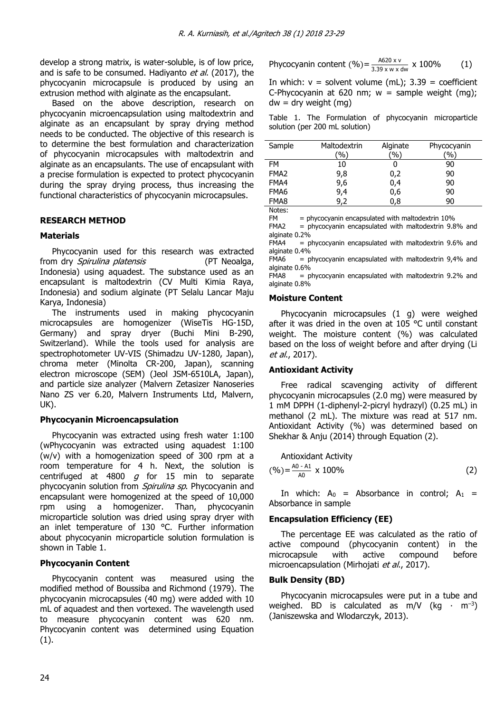develop a strong matrix, is water-soluble, is of low price, and is safe to be consumed. Hadiyanto et al. (2017), the phycocyanin microcapsule is produced by using an extrusion method with alginate as the encapsulant.

Based on the above description, research on phycocyanin microencapsulation using maltodextrin and alginate as an encapsulant by spray drying method needs to be conducted. The objective of this research is to determine the best formulation and characterization of phycocyanin microcapsules with maltodextrin and alginate as an encapsulants. The use of encapsulant with a precise formulation is expected to protect phycocyanin during the spray drying process, thus increasing the functional characteristics of phycocyanin microcapsules.

## **RESEARCH METHOD**

## **Materials**

Phycocyanin used for this research was extracted from dry *Spirulina platensis* (PT Neoalga, Indonesia) using aquadest. The substance used as an encapsulant is maltodextrin (CV Multi Kimia Raya, Indonesia) and sodium alginate (PT Selalu Lancar Maju Karya, Indonesia)

The instruments used in making phycocyanin microcapsules are homogenizer (WiseTis HG-15D, Germany) and spray dryer (Buchi Mini B-290, Switzerland). While the tools used for analysis are spectrophotometer UV-VIS (Shimadzu UV-1280, Japan), chroma meter (Minolta CR-200, Japan), scanning electron microscope (SEM) (Jeol JSM-6510LA, Japan), and particle size analyzer (Malvern Zetasizer Nanoseries Nano ZS ver 6.20, Malvern Instruments Ltd, Malvern, UK).

## **Phycocyanin Microencapsulation**

Phycocyanin was extracted using fresh water 1:100 (wPhycocyanin was extracted using aquadest 1:100 (w/v) with a homogenization speed of 300 rpm at a room temperature for 4 h. Next, the solution is centrifuged at 4800  $g$  for 15 min to separate phycocyanin solution from *Spirulina sp*. Phycocyanin and encapsulant were homogenized at the speed of 10,000 rpm using a homogenizer. Than, phycocyanin microparticle solution was dried using spray dryer with an inlet temperature of 130 °C. Further information about phycocyanin microparticle solution formulation is shown in Table 1.

## **Phycocyanin Content**

Phycocyanin content was measured using the modified method of Boussiba and Richmond (1979). The phycocyanin microcapsules (40 mg) were added with 10 mL of aquadest and then vortexed. The wavelength used to measure phycocyanin content was 620 nm. Phycocyanin content was determined using Equation (1).

Phycocyanin content (%) = 
$$
\frac{A620 \times v}{3.39 \times w \times dw} \times 100\%
$$
 (1)

In which:  $v =$  solvent volume (mL);  $3.39 =$  coefficient C-Phycocyanin at 620 nm;  $w =$  sample weight (mg);  $dw = dry$  weight  $(mq)$ 

Table 1. The Formulation of phycocyanin microparticle solution (per 200 mL solution)

| Sample           | Maltodextrin | Alginate | Phycocyanin |
|------------------|--------------|----------|-------------|
|                  | '%)          | '%)      | (%)         |
| FM               | 10           | U        | 90          |
| FMA <sub>2</sub> | 9,8          | 0,2      | 90          |
| FMA4             | 9,6          | 0,4      | 90          |
| FMA6             | 9,4          | 0,6      | 90          |
| FMA8             | 9,2          | 0,8      | 90          |

Notes:<br>FM

 $FM = phycocyanin encapsulated with maltodextrin 10%$ <br> $FMA2 = phycocyanin encansulated with maltodextrin 9.8$ 

 $=$  phycocyanin encapsulated with maltodextrin 9.8% and alginate 0.2%

FMA4 = phycocyanin encapsulated with maltodextrin 9.6% and alginate 0.4%

 $FMA6$  = phycocyanin encapsulated with maltodextrin 9,4% and alginate 0.6%

 $FMA8$  = phycocyanin encapsulated with maltodextrin 9.2% and alginate 0.8%

## **Moisture Content**

Phycocyanin microcapsules (1 g) were weighed after it was dried in the oven at 105 °C until constant weight. The moisture content (%) was calculated based on the loss of weight before and after drying (Li et al., 2017).

## **Antioxidant Activity**

Free radical scavenging activity of different phycocyanin microcapsules (2.0 mg) were measured by 1 mM DPPH (1-diphenyl-2-picryl hydrazyl) (0.25 mL) in methanol (2 mL). The mixture was read at 517 nm. Antioxidant Activity (%) was determined based on Shekhar & Anju (2014) through Equation (2).

Antioxidant Activity  
(%) = 
$$
\frac{A_0 - A_1}{A_0} \times 100\%
$$
 (2)

In which:  $A_0$  = Absorbance in control;  $A_1$  = Absorbance in sample

## **Encapsulation Efficiency (EE)**

The percentage EE was calculated as the ratio of active compound (phycocyanin content) in the microcapsule with active compound before microencapsulation (Mirhojati et al., 2017).

## **Bulk Density (BD)**

Phycocyanin microcapsules were put in a tube and weighed. BD is calculated as m/V ( $kg \cdot m^{-3}$ ) (Janiszewska and Wlodarczyk, 2013).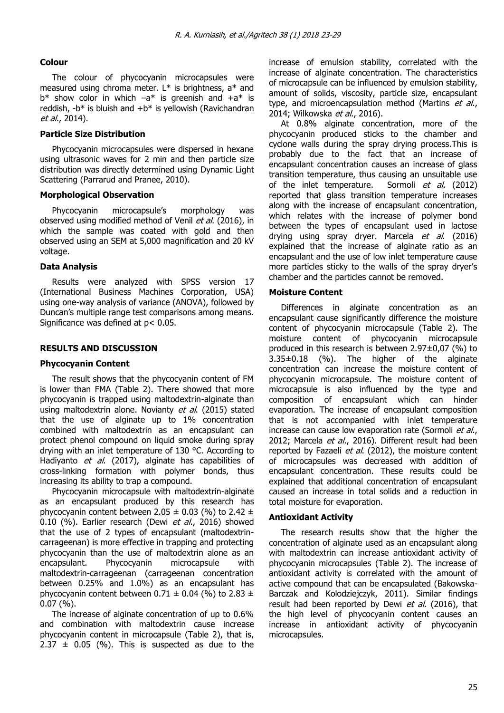## **Colour**

The colour of phycocyanin microcapsules were measured using chroma meter.  $L^*$  is brightness,  $a^*$  and  $b^*$  show color in which  $-a^*$  is greenish and  $+a^*$  is reddish,  $-b^*$  is bluish and  $+b^*$  is vellowish (Ravichandran et al., 2014).

### **Particle Size Distribution**

Phycocyanin microcapsules were dispersed in hexane using ultrasonic waves for 2 min and then particle size distribution was directly determined using Dynamic Light Scattering (Parrarud and Pranee, 2010).

#### **Morphological Observation**

Phycocyanin microcapsule's morphology was observed using modified method of Venil et al. (2016), in which the sample was coated with gold and then observed using an SEM at 5,000 magnification and 20 kV voltage.

#### **Data Analysis**

Results were analyzed with SPSS version 17 (International Business Machines Corporation, USA) using one-way analysis of variance (ANOVA), followed by Duncan's multiple range test comparisons among means. Significance was defined at p< 0.05.

## **RESULTS AND DISCUSSION**

## **Phycocyanin Content**

The result shows that the phycocyanin content of FM is lower than FMA (Table 2). There showed that more phycocyanin is trapped using maltodextrin-alginate than using maltodextrin alone. Novianty et al. (2015) stated that the use of alginate up to 1% concentration combined with maltodextrin as an encapsulant can protect phenol compound on liquid smoke during spray drying with an inlet temperature of 130 °C. According to Hadiyanto et al. (2017), alginate has capabilities of cross-linking formation with polymer bonds, thus increasing its ability to trap a compound.

Phycocyanin microcapsule with maltodextrin-alginate as an encapsulant produced by this research has phycocyanin content between 2.05  $\pm$  0.03 (%) to 2.42  $\pm$ 0.10 (%). Earlier research (Dewi et al., 2016) showed that the use of 2 types of encapsulant (maltodextrincarrageenan) is more effective in trapping and protecting phycocyanin than the use of maltodextrin alone as an encapsulant. Phycocyanin microcapsule with maltodextrin-carrageenan (carrageenan concentration between 0.25% and 1.0%) as an encapsulant has phycocyanin content between  $0.71 \pm 0.04$  (%) to 2.83  $\pm$ 0.07 (%).

The increase of alginate concentration of up to 0.6% and combination with maltodextrin cause increase phycocyanin content in microcapsule (Table 2), that is,  $2.37 \pm 0.05$  (%). This is suspected as due to the

increase of emulsion stability, correlated with the increase of alginate concentration. The characteristics of microcapsule can be influenced by emulsion stability, amount of solids, viscosity, particle size, encapsulant type, and microencapsulation method (Martins et al., 2014; Wilkowska et al., 2016).

At 0.8% alginate concentration, more of the phycocyanin produced sticks to the chamber and cyclone walls during the spray drying process.This is probably due to the fact that an increase of encapsulant concentration causes an increase of glass transition temperature, thus causing an unsuitable use of the inlet temperature. Sormoli et al. (2012) reported that glass transition temperature increases along with the increase of encapsulant concentration, which relates with the increase of polymer bond between the types of encapsulant used in lactose drying using spray dryer. Marcela et al. (2016) explained that the increase of alginate ratio as an encapsulant and the use of low inlet temperature cause more particles sticky to the walls of the spray dryer's chamber and the particles cannot be removed.

#### **Moisture Content**

Differences in alginate concentration as an encapsulant cause significantly difference the moisture content of phycocyanin microcapsule (Table 2). The moisture content of phycocyanin microcapsule produced in this research is between 2.97±0,07 (%) to 3.35±0.18 (%). The higher of the alginate concentration can increase the moisture content of phycocyanin microcapsule. The moisture content of microcapsule is also influenced by the type and composition of encapsulant which can hinder evaporation. The increase of encapsulant composition that is not accompanied with inlet temperature increase can cause low evaporation rate (Sormoli et al., 2012; Marcela et al., 2016). Different result had been reported by Fazaeli et al. (2012), the moisture content of microcapsules was decreased with addition of encapsulant concentration. These results could be explained that additional concentration of encapsulant caused an increase in total solids and a reduction in total moisture for evaporation.

#### **Antioxidant Activity**

The research results show that the higher the concentration of alginate used as an encapsulant along with maltodextrin can increase antioxidant activity of phycocyanin microcapsules (Table 2). The increase of antioxidant activity is correlated with the amount of active compound that can be encapsulated (Bakowska-Barczak and Kolodziejczyk, 2011). Similar findings result had been reported by Dewi et al. (2016), that the high level of phycocyanin content causes an increase in antioxidant activity of phycocyanin microcapsules.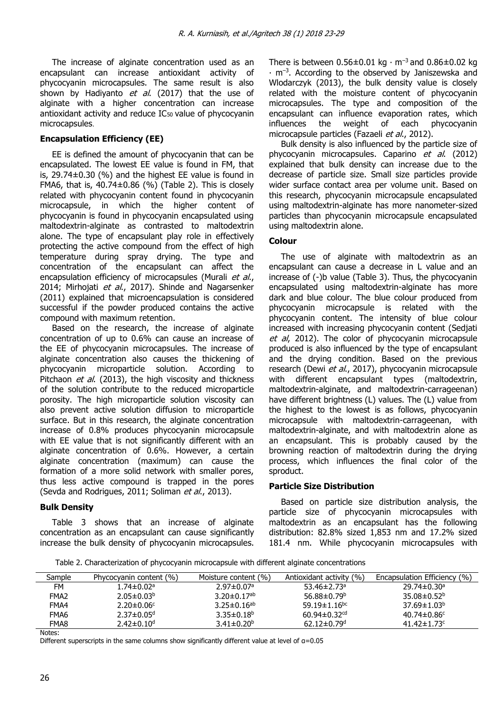The increase of alginate concentration used as an encapsulant can increase antioxidant activity of phycocyanin microcapsules. The same result is also shown by Hadiyanto  $et$  al. (2017) that the use of alginate with a higher concentration can increase antioxidant activity and reduce IC<sub>50</sub> value of phycocyanin microcapsules.

## **Encapsulation Efficiency (EE)**

EE is defined the amount of phycocyanin that can be encapsulated. The lowest EE value is found in FM, that is, 29.74±0.30 (%) and the highest EE value is found in FMA6, that is,  $40.74\pm0.86$  (%) (Table 2). This is closely related with phycocyanin content found in phycocyanin microcapsule, in which the higher content of phycocyanin is found in phycocyanin encapsulated using maltodextrin-alginate as contrasted to maltodextrin alone. The type of encapsulant play role in effectively protecting the active compound from the effect of high temperature during spray drying. The type and concentration of the encapsulant can affect the encapsulation efficiency of microcapsules (Murali et al., 2014; Mirhojati et al., 2017). Shinde and Nagarsenker (2011) explained that microencapsulation is considered successful if the powder produced contains the active compound with maximum retention.

Based on the research, the increase of alginate concentration of up to 0.6% can cause an increase of the EE of phycocyanin microcapsules. The increase of alginate concentration also causes the thickening of phycocyanin microparticle solution. According to Pitchaon et al. (2013), the high viscosity and thickness of the solution contribute to the reduced microparticle porosity. The high microparticle solution viscosity can also prevent active solution diffusion to microparticle surface. But in this research, the alginate concentration increase of 0.8% produces phycocyanin microcapsule with EE value that is not significantly different with an alginate concentration of 0.6%. However, a certain alginate concentration (maximum) can cause the formation of a more solid network with smaller pores, thus less active compound is trapped in the pores (Sevda and Rodrigues, 2011; Soliman et al., 2013).

## **Bulk Density**

Table 3 shows that an increase of alginate concentration as an encapsulant can cause significantly increase the bulk density of phycocyanin microcapsules. There is between  $0.56\pm0.01$  kg ⋅ m<sup>-3</sup> and  $0.86\pm0.02$  kg ∙ m–<sup>3</sup> . According to the observed by Janiszewska and Wlodarczyk (2013), the bulk density value is closely related with the moisture content of phycocyanin microcapsules. The type and composition of the encapsulant can influence evaporation rates, which influences the weight of each phycocyanin microcapsule particles (Fazaeli et al., 2012).

Bulk density is also influenced by the particle size of phycocyanin microcapsules. Caparino et al. (2012) explained that bulk density can increase due to the decrease of particle size. Small size particles provide wider surface contact area per volume unit. Based on this research, phycocyanin microcapsule encapsulated using maltodextrin-alginate has more nanometer-sized particles than phycocyanin microcapsule encapsulated using maltodextrin alone.

## **Colour**

The use of alginate with maltodextrin as an encapsulant can cause a decrease in L value and an increase of (-)b value (Table 3). Thus, the phycocyanin encapsulated using maltodextrin-alginate has more dark and blue colour. The blue colour produced from phycocyanin microcapsule is related with the phycocyanin content. The intensity of blue colour increased with increasing phycocyanin content (Sedjati et al, 2012). The color of phycocyanin microcapsule produced is also influenced by the type of encapsulant and the drying condition. Based on the previous research (Dewi et al., 2017), phycocyanin microcapsule with different encapsulant types (maltodextrin, maltodextrin-alginate, and maltodextrin-carrageenan) have different brightness (L) values. The (L) value from the highest to the lowest is as follows, phycocyanin microcapsule with maltodextrin-carrageenan, with maltodextrin-alginate, and with maltodextrin alone as an encapsulant. This is probably caused by the browning reaction of maltodextrin during the drying process, which influences the final color of the sproduct.

## **Particle Size Distribution**

Based on particle size distribution analysis, the particle size of phycocyanin microcapsules with maltodextrin as an encapsulant has the following distribution: 82.8% sized 1,853 nm and 17.2% sized 181.4 nm. While phycocyanin microcapsules with

Table 2. Characterization of phycocyanin microcapsule with different alginate concentrations

| Sample           | Phycocyanin content (%)      | Moisture content (%)          | Antioxidant activity (%)       | Encapsulation Efficiency (%)  |
|------------------|------------------------------|-------------------------------|--------------------------------|-------------------------------|
| FM               | 1.74±0.02ª                   | $2.97 \pm 0.07$ <sup>a</sup>  | 53.46 $\pm$ 2.73 <sup>a</sup>  | $29.74 \pm 0.30$ <sup>a</sup> |
| FMA <sub>2</sub> | $2.05 \pm 0.03^b$            | $3.20 \pm 0.17$ <sup>ab</sup> | 56.88 $\pm$ 0.79 <sup>b</sup>  | $35.08 \pm 0.52^{\circ}$      |
| FMA4             | $2.20 \pm 0.06$ <sup>c</sup> | $3.25 \pm 0.16^{ab}$          | 59.19 $\pm$ 1.16 <sup>bc</sup> | $37.69 \pm 1.03^b$            |
| FMA6             | $2.37 \pm 0.05$ <sup>d</sup> | $3.35 \pm 0.18^b$             | 60.94±0.32 <sup>cd</sup>       | $40.74 \pm 0.86$ c            |
| FMA8             | $2.42 \pm 0.10$ <sup>d</sup> | $3.41 \pm 0.20^{\circ}$       | $62.12 \pm 0.79$ <sup>d</sup>  | $41.42 \pm 1.73$ <sup>c</sup> |
|                  |                              |                               |                                |                               |

Notes:

Different superscripts in the same columns show significantly different value at level of α=0.05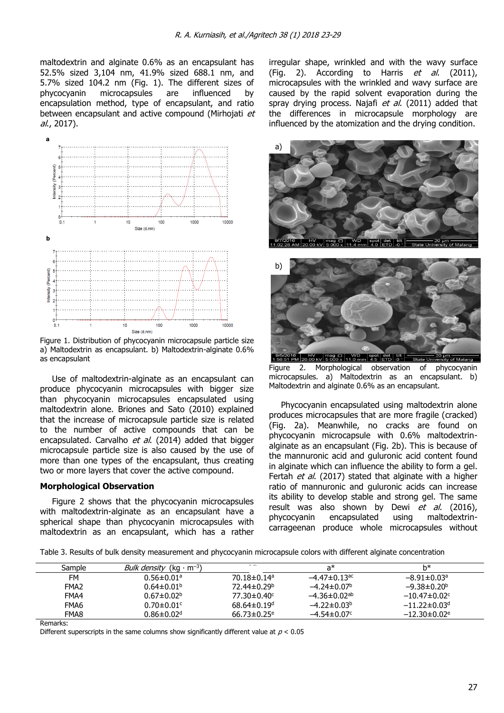maltodextrin and alginate 0.6% as an encapsulant has 52.5% sized 3,104 nm, 41.9% sized 688.1 nm, and 5.7% sized 104.2 nm (Fig. 1). The different sizes of phycocyanin microcapsules are influenced by encapsulation method, type of encapsulant, and ratio between encapsulant and active compound (Mirhojati et al., 2017).



Figure 1. Distribution of phycocyanin microcapsule particle size a) Maltodextrin as encapsulant. b) Maltodextrin-alginate 0.6% as encapsulant

Use of maltodextrin-alginate as an encapsulant can produce phycocyanin microcapsules with bigger size than phycocyanin microcapsules encapsulated using maltodextrin alone. Briones and Sato (2010) explained that the increase of microcapsule particle size is related to the number of active compounds that can be encapsulated. Carvalho et al. (2014) added that bigger microcapsule particle size is also caused by the use of more than one types of the encapsulant, thus creating two or more layers that cover the active compound.

#### **Morphological Observation**

Figure 2 shows that the phycocyanin microcapsules with maltodextrin-alginate as an encapsulant have a spherical shape than phycocyanin microcapsules with maltodextrin as an encapsulant, which has a rather irregular shape, wrinkled and with the wavy surface (Fig. 2). According to Harris et al. (2011), microcapsules with the wrinkled and wavy surface are caused by the rapid solvent evaporation during the spray drying process. Najafi et al. (2011) added that the differences in microcapsule morphology are influenced by the atomization and the drying condition.





Figure 2. Morphological observation of phycocyanin microcapsules. a) Maltodextrin as an encapsulant. b) Maltodextrin and alginate 0.6% as an encapsulant.

Phycocyanin encapsulated using maltodextrin alone produces microcapsules that are more fragile (cracked) (Fig. 2a). Meanwhile, no cracks are found on phycocyanin microcapsule with 0.6% maltodextrinalginate as an encapsulant (Fig. 2b). This is because of the mannuronic acid and guluronic acid content found in alginate which can influence the ability to form a gel. Fertah et al. (2017) stated that alginate with a higher ratio of mannuronic and guluronic acids can increase its ability to develop stable and strong gel. The same result was also shown by Dewi et al. (2016), phycocyanin encapsulated using maltodextrincarrageenan produce whole microcapsules without

Table 3. Results of bulk density measurement and phycocyanin microcapsule colors with different alginate concentration

| Sample           | <i>Bulk density</i> (kg · m <sup>-3</sup> ) |                               | a*                             | h*                             |
|------------------|---------------------------------------------|-------------------------------|--------------------------------|--------------------------------|
| FM               | $0.56 \pm 0.01$ <sup>a</sup>                | $70.18 \pm 0.14$ <sup>a</sup> | $-4.47 \pm 0.13$ <sup>ac</sup> | $-8.91 \pm 0.03$ <sup>a</sup>  |
| FMA <sub>2</sub> | $0.64 \pm 0.01$ <sup>b</sup>                | 72.44±0.29 <sup>b</sup>       | $-4.24 \pm 0.07^{\rm b}$       | $-9.38 \pm 0.20^{\circ}$       |
| FMA4             | $0.67 \pm 0.02^b$                           | 77.30±0.40 <sup>c</sup>       | $-4.36 \pm 0.02$ <sup>ab</sup> | $-10.47 \pm 0.02$ <sup>c</sup> |
| FMA6             | $0.70 \pm 0.01$ <sup>c</sup>                | $68.64 \pm 0.19$ <sup>d</sup> | $-4.22 \pm 0.03^b$             | $-11.22 \pm 0.03$ <sup>d</sup> |
| FMA8             | $0.86 \pm 0.02$ <sup>d</sup>                | $66.73 \pm 0.25$ <sup>e</sup> | $-4.54 \pm 0.07$               | $-12.30 \pm 0.02$ <sup>e</sup> |

Remarks:

Different superscripts in the same columns show significantly different value at  $p < 0.05$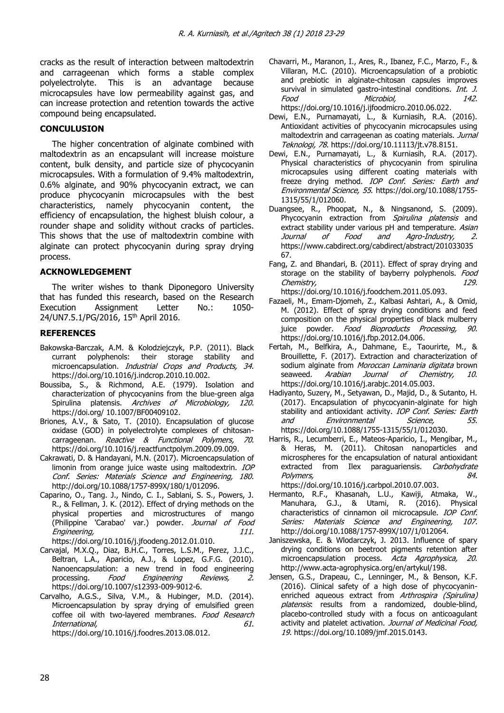cracks as the result of interaction between maltodextrin and carrageenan which forms a stable complex polyelectrolyte. This is an advantage because microcapsules have low permeability against gas, and can increase protection and retention towards the active compound being encapsulated.

### **CONCULUSION**

The higher concentration of alginate combined with maltodextrin as an encapsulant will increase moisture content, bulk density, and particle size of phycocyanin microcapsules. With a formulation of 9.4% maltodextrin, 0.6% alginate, and 90% phycocyanin extract, we can produce phycocyanin microcapsules with the best characteristics, namely phycocyanin content, the efficiency of encapsulation, the highest bluish colour, a rounder shape and solidity without cracks of particles. This shows that the use of maltodextrin combine with alginate can protect phycocyanin during spray drying process.

#### **ACKNOWLEDGEMENT**

The writer wishes to thank Diponegoro University that has funded this research, based on the Research Execution Assignment Letter No.: 1050- 24/UN7.5.1/PG/2016, 15<sup>th</sup> April 2016.

#### **REFERENCES**

- Bakowska-Barczak, A.M. & Kolodziejczyk, P.P. (2011). Black currant polyphenols: their storage stability and microencapsulation. Industrial Crops and Products. 34. https://doi.org/10.1016/j.indcrop.2010.10.002.
- Boussiba, S., & Richmond, A.E. (1979). Isolation and characterization of phycocyanins from the blue-green alga Spirulina platensis. Archives of Microbiology, 120. https://doi.org/ [10.1007/BF00409102.](http://dx.doi.org/10.1007/BF00409102)
- Briones, A.V., & Sato, T. (2010). Encapsulation of glucose oxidase (GOD) in polyelectrolyte complexes of chitosancarrageenan. Reactive & Functional Polymers, 70. [https://doi.org/10.1016/j.reactfunctpolym.2009.09.009.](https://doi.org/10.1016/j.reactfunctpolym.2009.09.009)
- Cakrawati, D. & Handayani, M.N. (2017). Microencapsulation of limonin from orange juice waste using maltodextrin. IOP Conf. Series: Materials Science and Engineering, 180. http://doi.org/10.1088/1757-899X/180/1/012096.
- Caparino, O., Tang. J., Nindo, C. I., Sablani, S. S., Powers, J. R., & Fellman, J. K. (2012). Effect of drying methods on the physical properties and microstructures of mango (Philippine 'Carabao' var.) powder. Journal of Food Engineering, 2008. The state of the state of the state of the state of the state of the state of the state of the state of the state of the state of the state of the state of the state of the state of the state of the stat

[https://doi.org/10.1016/j.jfoodeng.2012.01.010.](https://doi.org/10.1016/j.jfoodeng.2012.01.010)

- Carvajal, M.X.Q., Diaz, B.H.C., Torres, L.S.M., Perez, J.J.C., Beltran, L.A., Aparicio, A.J., & Lopez, G.F.G. (2010). Nanoencapsulation: a new trend in food engineering processing. Food Engineering Reviews, 2. https://doi.org/10.1007/s12393-009-9012-6.
- Carvalho, A.G.S., Silva, V.M., & Hubinger, M.D. (2014). Microencapsulation by spray drying of emulsified green coffee oil with two-layered membranes. Food Research International, 61. [https://doi.org/10.1016/j.foodres.2013.08.012.](https://doi.org/10.1016/j.foodres.2013.08.012)
- Chavarri, M., Maranon, I., Ares, R., Ibanez, F.C., Marzo, F., & Villaran, M.C. (2010). Microencapsulation of a probiotic and prebiotic in alginate-chitosan capsules improves survival in simulated gastro-intestinal conditions. *Int. J.* Food Microbiol, 142. [https://doi.org/10.1016/j.ijfoodmicro.2010.06.022.](https://doi.org/10.1016/j.ijfoodmicro.2010.06.022)
- Dewi, E.N., Purnamayati, L., & Kurniasih, R.A. (2016). Antioxidant activities of phycocyanin microcapsules using maltodextrin and carrageenan as coating materials. Jurnal Teknologi, 78. [https://doi.org/10.11113/jt.v78.8151.](https://doi.org/10.11113/jt.v78.8151)
- Dewi, E.N., Purnamayati, L., & Kurniasih, R.A. (2017). Physical characteristics of phycocyanin from spirulina microcapsules using different coating materials with freeze drying method. IOP Conf. Series: Earth and Environmental Science, 55. [https://doi.org/10.1088/1755-](https://doi.org/10.1088/1755-1315/55/1/012060) [1315/55/1/012060.](https://doi.org/10.1088/1755-1315/55/1/012060)
- Duangsee, R., Phoopat, N., & Ningsanond, S. (2009). Phycocyanin extraction from Spirulina platensis and extract stability under various pH and temperature. Asian<br>Journal of Food and Agro-Industry, 2. Journal of Food and Agro-Industry, 2. https://www.cabdirect.org/cabdirect/abstract/201033035 67.
- Fang, Z. and Bhandari, B. (2011). Effect of spray drying and storage on the stability of bayberry polyphenols. Food Chemistry, 229. [https://doi.org/10.1016/j.foodchem.2011.05.093.](https://doi.org/10.1016/j.foodchem.2011.05.093)
- Fazaeli, M., Emam-Djomeh, Z., Kalbasi Ashtari, A., & Omid, M. (2012). Effect of spray drying conditions and feed composition on the physical properties of black mulberry juice powder. Food Bioproducts Processing, 90. [https://doi.org/10.1016/j.fbp.2012.04.006.](https://doi.org/10.1016/j.fbp.2012.04.006)
- Fertah, M., Belfkira, A., Dahmane, E., Taourirte, M., & Brouillette, F. (2017). Extraction and characterization of sodium alginate from Moroccan Laminaria digitata brown seaweed. Arabian Journal of Chemistry, 10. [https://doi.org/10.1016/j.arabjc.2014.05.003.](https://doi.org/10.1016/j.arabjc.2014.05.003)
- Hadiyanto, Suzery, M., Setyawan, D., Majid, D., & Sutanto, H. (2017). Encapsulation of phycocyanin-alginate for high stability and antioxidant activity. IOP Conf. Series: Earth and Environmental Science, 55. https://doi.org/10.1088/1755-1315/55/1/012030.
- Harris, R., Lecumberri, E., Mateos-Aparicio, I., Mengibar, M., & Heras, M. (2011). Chitosan nanoparticles and microspheres for the encapsulation of natural antioxidant extracted from Ilex paraguariensis. Carbohydrate Polymers, 84.

[https://doi.org/10.1016/j.carbpol.2010.07.003.](https://doi.org/10.1016/j.carbpol.2010.07.003)

- Hermanto, R.F., Khasanah, L.U., Kawiji, Atmaka, W., Manuhara, G.J., & Utami, R. (2016). Physical characteristics of cinnamon oil microcapsule. IOP Conf. Series: Materials Science and Engineering, 107. http://doi.org/10.1088/1757-899X/107/1/012064.
- Janiszewska, E. & Wlodarczyk, J. 2013. Influence of spary drying conditions on beetroot pigments retention after microencapsulation process. Acta Agrophysica, 20. http://www.acta-agrophysica.org/en/artykul/198.
- Jensen, G.S., Drapeau, C., Lenninger, M., & Benson, K.F. (2016). Clinical safety of a high dose of phycocyaninenriched aqueous extract from Arthrospira (Spirulina) platensis: results from a randomized, double-blind, placebo-controlled study with a focus on anticoagulant activity and platelet activation. Journal of Medicinal Food, 19. https://doi.org/10.1089/jmf.2015.0143.